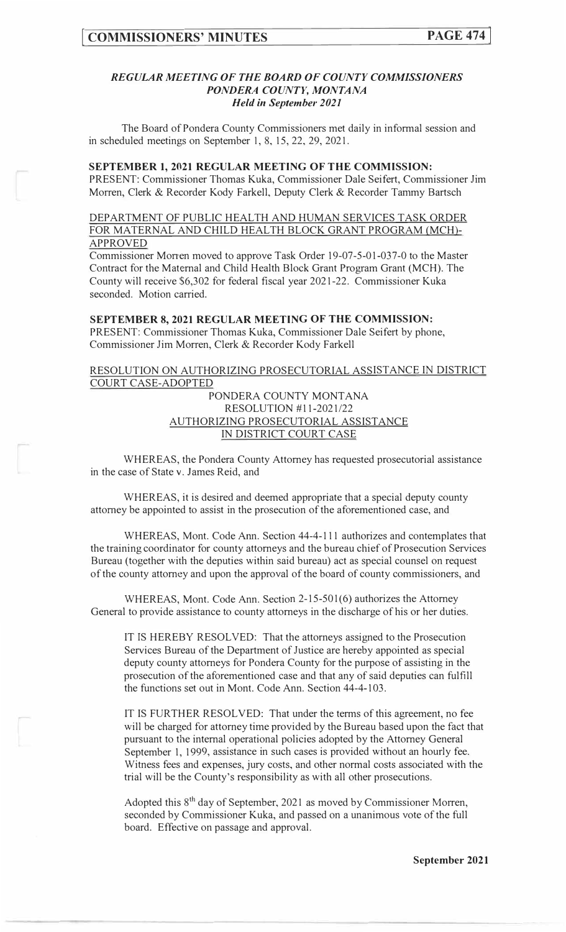### *REGULAR MEETING OF THE BOARD OF COUNTY COMMISSIONERS PONDERA COUNTY, MONTANA Held in September 2021*

The Board of Pondera County Commissioners met daily in informal session and in scheduled meetings on September I, 8, 15, 22, 29, 2021.

#### **SEPTEMBER 1, 2021 REGULAR MEETING OF THE COMMISSION:**

PRESENT: Commissioner Thomas Kuka, Commissioner Dale Seifert, Commissioner Jim Morren, Clerk & Recorder Kody Farkell, Deputy Clerk & Recorder Tammy Bartsch

# DEPARTMENT OF PUBLIC HEALTH AND HUMAN SERVICES TASK ORDER FOR MATERNAL AND CHILD HEALTH BLOCK GRANT PROGRAM (MCH) APPROVED

Commissioner Mor<sup>r</sup> en moved to approve Task Order 19-07-5-01-037-0 to the Master Contract for the Maternal and Child Health Block Grant Program Grant (MCH). The County will receive \$6,302 for federal fiscal year 2021-22. Commissioner Kuka seconded. Motion carried.

### **SEPTEMBER 8, 2021 REGULAR MEETING OF THE COMMISSION:**  PRESENT: Commissioner Thomas Kuka, Commissioner Dale Seifert by phone, Commissioner Jim Morren, Clerk & Recorder Kody Farkell

# RESOLUTION ON AUTHORIZING PROSECUTORIAL ASSISTANCE IN DISTRICT COURT CASE-ADOPTED

PONDERA COUNTY MONTANA RESOLUTION #11-2021/22 AUTHORIZING PROSECUTORIAL ASSISTANCE IN DISTRICT COURT CASE

WHEREAS, the Pondera County Attorney has requested prosecutorial assistance in the case of State v. James Reid, and

WHEREAS, it is desired and deemed appropriate that a special deputy county attorney be appointed to assist in the prosecution of the aforementioned case, and

WHEREAS, Mont. Code Ann. Section 44-4-111 authorizes and contemplates that the training coordinator for county attorneys and the bureau chief of Prosecution Services Bureau (together with the deputies within said bureau) act as special counsel on request of the county attorney and upon the approval of the board of county commissioners, and

WHEREAS, Mont. Code Ann. Section 2-15-501(6) authorizes the Attorney General to provide assistance to county attorneys in the discharge of his or her duties.

IT IS HEREBY RESOLVED: That the attorneys assigned to the Prosecution Services Bureau of the Department of Justice are hereby appointed as special deputy county attorneys for Pondera County for the purpose of assisting in the prosecution of the aforementioned case and that any of said deputies can fulfill the functions set out in Mont. Code Ann. Section 44-4-103.

IT IS FURTHER RESOLVED: That under the terms of this agreement, no fee will be charged for attorney time provided by the Bureau based upon the fact that pursuant to the internal operational policies adopted by the Attorney General September 1, 1999, assistance in such cases is provided without an hourly fee. Witness fees and expenses, jury costs, and other normal costs associated with the trial will be the County's responsibility as with all other prosecutions.

Adopted this 8<sup>th</sup> day of September, 2021 as moved by Commissioner Morren, seconded by Commissioner Kuka, and passed on a unanimous vote of the full board. Effective on passage and approval.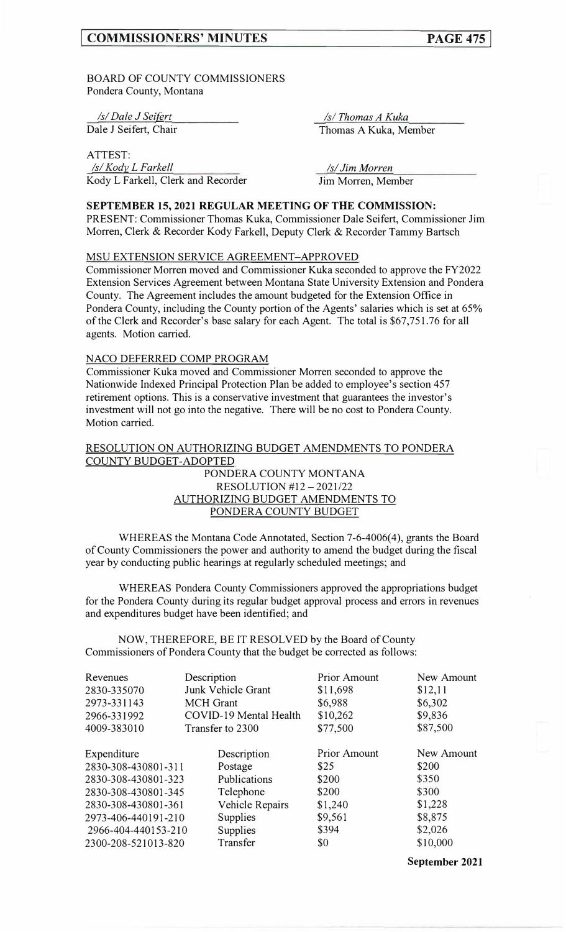BOARD OF COUNTY COMMISSIONERS Pondera County, Montana

*Isl Dale J Sei{grt*  Dale J Seifert, Chair

ATTEST: *Isl Kody L F arkell*  Kody L Farkell, Clerk and Recorder

*ls/Thomas A Kuka*  Thomas A Kuka, Member

*Isl Jim Morren*  Jim Morren, Member

# **SEPTEMBER 15, 2021 REGULAR MEETING OF THE COMMISSION:**

PRESENT: Commissioner Thomas Kuka, Commissioner Dale Seifert, Commissioner Jim Morren, Clerk & Recorder Kody Farkell, Deputy Clerk & Recorder Tammy Bartsch

### MSU EXTENSION SERVICE AGREEMENT-APPROVED

Commissioner Morren moved and Commissioner Kuka seconded to approve the FY2022 Extension Services Agreement between Montana State University Extension and Pondera County. The Agreement includes the amount budgeted for the Extension Office in Pondera County, including the County portion of the Agents' salaries which is set at 65% of the Clerk and Recorder's base salary for each Agent. The total is \$67,751.76 for all agents. Motion carried.

### NACO DEFERRED COMP PROGRAM

Commissioner Kuka moved and Commissioner Morren seconded to approve the Nationwide Indexed Principal Protection Plan be added to employee's section 457 retirement options. This is a conservative investment that guarantees the investor's investment will not go into the negative. There will be no cost to Pondera County. Motion carried.

# RESOLUTION ON AUTHORIZING BUDGET AMENDMENTS TO PONDERA COUNTY BUDGET-ADOPTED

# PONDERA COUNTY MONTANA RESOLUTION #12 - 2021/22 AUTHORIZING BUDGET AMENDMENTS TO PONDERA COUNTY BUDGET

WHEREAS the Montana Code Annotated, Section 7-6-4006(4), grants the Board of County Commissioners the power and authority to amend the budget during the fiscal year by conducting public hearings at regularly scheduled meetings; and

WHEREAS Pondera County Commissioners approved the appropriations budget for the Pondera County during its regular budget approval process and errors in revenues and expenditures budget have been identified; and

NOW, THEREFORE, BE IT RESOLVED by the Board of County Commissioners of Pondera County that the budget be corrected as follows:

| Description                            | <b>Prior Amount</b> | New Amount |
|----------------------------------------|---------------------|------------|
| Junk Vehicle Grant                     | \$11,698            | \$12,11    |
| <b>MCH</b> Grant                       | \$6,988             | \$6,302    |
| COVID-19 Mental Health                 | \$10,262            | \$9,836    |
| Transfer to 2300                       | \$77,500            | \$87,500   |
|                                        | <b>Prior Amount</b> | New Amount |
| 2830-308-430801-311<br>Postage         | \$25                | \$200      |
| Publications<br>2830-308-430801-323    | \$200               | \$350      |
| Telephone<br>2830-308-430801-345       | \$200               | \$300      |
| Vehicle Repairs<br>2830-308-430801-361 | \$1,240             | \$1,228    |
| 2973-406-440191-210<br>Supplies        | \$9,561             | \$8,875    |
| Supplies<br>2966-404-440153-210        | \$394               | \$2,026    |
| Transfer<br>2300-208-521013-820        | \$0                 | \$10,000   |
|                                        | Description         |            |

**September 2021**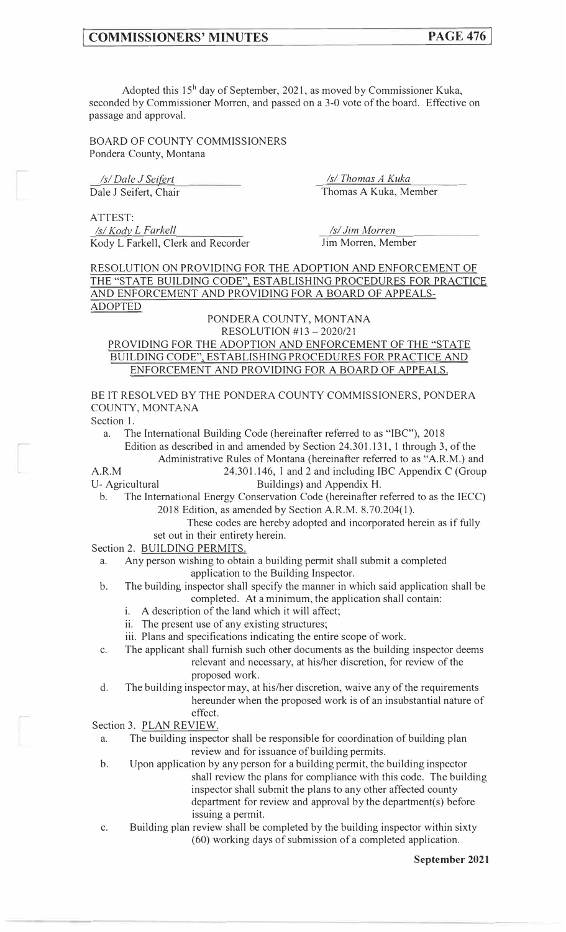Adopted this  $15<sup>h</sup>$  day of September, 2021, as moved by Commissioner Kuka, seconded by Commissioner Morren, and passed on a 3-0 vote of the board. Effective on passage and approval.

BOARD OF COUNTY COMMISSIONERS Pondera County, Montana

*Isl Dale J Sei{grt Isl Thomas A Kuka* 

Dale J Seifert, Chair Thomas A Kuka, Member

ATTEST: *Isl Kody L Farkell Isl Kody L Farkell Isl Jim Morren* Kody L Farkell, Clerk and Recorder Jim Morren, Member

RESOLUTION ON PROVIDING FOR THE ADOPTION AND ENFORCEMENT OF THE "STATE BUILDING CODE", ESTABLISHING PROCEDURES FOR PRACTICE AND ENFORCEMENT AND PROVIDING FOR A BOARD OF APPEALS-ADOPTED

### PONDERA COUNTY, MONTANA RESOLUTION #13 -2020/21

# PROVIDING FOR THE ADOPTION AND ENFORCEMENT OF THE "STATE BUILDING CODE", ESTABLISHING PROCEDURES FOR PRACTICE AND ENFORCEMENT AND PROVIDING FOR A BOARD OF APPEALS.

BE IT RESOLVED BY THE PONDERA COUNTY COMMISSIONERS, PONDERA COUNTY, MONTANA

Section 1.

a. The International Building Code (hereinafter referred to as "IBC"), 2018 Edition as described in and amended by Section 24.301.131, 1 through 3, of the

Administrative Rules of Montana (hereinafter referred to as "A.R.M.) and

A.R.M 24.301.146, l and 2 and including IBC Appendix C (Group U- Agricultural Buildings) and Appendix H.

b. The International Energy Conservation Code (hereinafier referred to as the IECC) 2018 Edition, as amended by Section A.R.M. 8.70.204(1).

> These codes are hereby adopted and incorporated herein as if fully set out in their entirety herein.

Section 2. **BUILDING PERMITS.** 

a. Any person wishing to obtain a building permit shall submit a completed application to the Building Inspector.

- b. The building inspector shall specify the manner in which said application shall be completed. At a minimum, the application shall contain:
	- i. A description of the land which it will affect;
	- ii. The present use of any existing structures;
	- iii. Plans and specifications indicating the entire scope of work.
- c. The applicant shall furnish such other documents as the building inspector deems relevant and necessary, at his/her discretion, for review of the proposed work.
- d. The building inspector may, at his/her discretion, waive any of the requirements hereunder when the proposed work is of an insubstantial nature of effect.

Section 3. PLAN REVIEW.

- a. The building inspector shall be responsible for coordination of building plan review and for issuance of building permits.
- b. Upon application by any person for a building permit, the building inspector shall review the plans for compliance with this code. The building inspector shall submit the plans to any other affected county department for review and approval by the department(s) before issuing a permit.
- c. Building plan review shall be completed by the building inspector within sixty (60) working days of submission of a completed application.

**September 2021**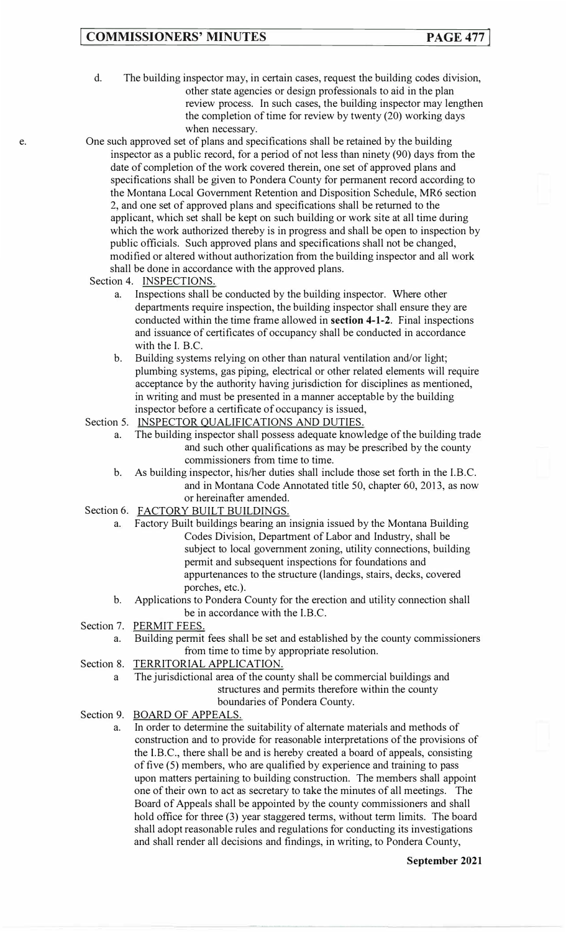# **COMMISSIONERS' MINUTES PAGE 477**

- d. The building inspector may, in certain cases, request the building codes division, other state agencies or design professionals to aid in the plan review process. In such cases, the building inspector may lengthen the completion of time for review by twenty (20) working days when necessary.
- One such approved set of plans and specifications shall be retained by the building inspector as a public record, for a period of not less than ninety (90) days from the date of completion of the work covered therein, one set of approved plans and specifications shall be given to Pondera County for permanent record according to the Montana Local Government Retention and Disposition Schedule, MR6 section 2, and one set of approved plans and specifications shall be returned to the applicant, which set shall be kept on such building or work site at all time during which the work authorized thereby is in progress and shall be open to inspection by public officials. Such approved plans and specifications shall not be changed, modified or altered without authorization from the building inspector and all work shall be done in accordance with the approved plans.
- Section 4. INSPECTIONS.
	- a. Inspections shall be conducted by the building inspector. Where other departments require inspection, the building inspector shall ensure they are conducted within the time frame allowed in **section 4-1-2.** Final inspections and issuance of certificates of occupancy shall be conducted in accordance with the I. B.C.
	- b. Building systems relying on other than natural ventilation and/or light; plumbing systems, gas piping, electrical or other related elements will require acceptance by the authority having jurisdiction for disciplines as mentioned, in writing and must be presented in a manner acceptable by the building inspector before a certificate of occupancy is issued,
- Section 5. INSPECTOR QUALIFICATIONS AND DUTIES.
	- a. The building inspector shall possess adequate knowledge of the building trade and such other qualifications as may be prescribed by the county commissioners from time to time.
	- b. As building inspector, his/her duties shall include those set forth in the l.B.C. and in Montana Code Annotated title 50, chapter 60, 2013, as now or hereinafter amended.
- Section 6. FACTORY BUILT BUILDINGS.
	- a. Factory Built buildings bearing an insignia issued by the Montana Building Codes Division, Department of Labor and Industry, shall be subject to local government zoning, utility connections, building permit and subsequent inspections for foundations and appurtenances to the structure (landings, stairs, decks, covered porches, etc.).
	- b. Applications to Pondera County for the erection and utility connection shall be in accordance with the I.B.C.
- Section 7. PERMIT FEES.
	- a. Building permit fees shall be set and established by the county commissioners from time to time by appropriate resolution.
- Section 8. TERRITORIAL APPLICATION.
	- a The jurisdictional area of the county shall be commercial buildings and structures and permits therefore within the county boundaries of Pondera County.
- Section 9. BOARD OF APPEALS.

a. In order to determine the suitability of alternate materials and methods of construction and to provide for reasonable interpretations of the provisions of the I.B.C., there shall be and is hereby created a board of appeals, consisting of five (5) members, who are qualified by experience and training to pass upon matters pertaining to building construction. The members shall appoint one of their own to act as secretary to take the minutes of all meetings. The Board of Appeals shall be appointed by the county commissioners and shall hold office for three (3) year staggered terms, without term limits. The board shall adopt reasonable rules and regulations for conducting its investigations and shall render all decisions and findings, in writing, to Pondera County,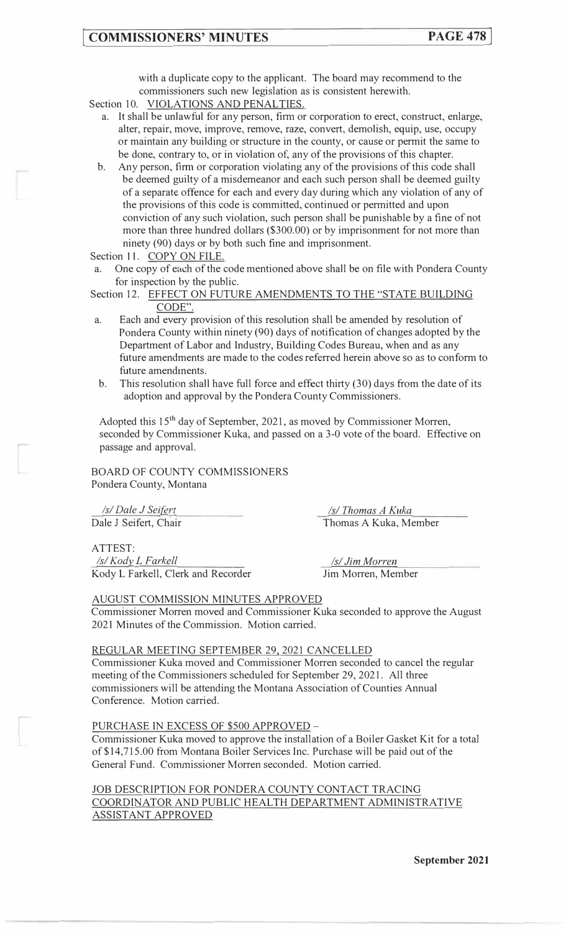with a duplicate copy to the applicant. The board may recommend to the commissioners such new legislation as is consistent herewith.

- Section 10. VIOLATIONS AND PENALTIES.
	- a. It shall be unlawful for any person, firm or corporation to erect, construct, enlarge, alter, repair, move, improve, remove, raze, convert, demolish, equip, use, occupy or maintain any building or structure in the county, or cause or permit the same to be done, contrary to, or in violation of, any of the provisions of this chapter.
	- b. Any person, firm or corporation violating any of the provisions of this code shall be deemed guilty of a misdemeanor and each such person shall be deemed guilty of a separate offence for each and every day during which any violation of any of the provisions of this code is committed, continued or permitted and upon conviction of any such violation, such person shall be punishable by a fine of not more than three hundred dollars (\$300.00) or by imprisonment for not more than ninety (90) days or by both such fine and imprisonment.

Section 11. COPY ON FILE.

- One copy of each of the code mentioned above shall be on file with Pondera County for inspection by the public.
- Section 12. EFFECT ON FUTURE AMENDMENTS TO THE "STATE BUILDING CODE".
- a. Each and every provision of this resolution shall be amended by resolution of Pondera County within ninety (90) days of notification of changes adopted by the Department of Labor and Industry, Building Codes Bureau, when and as any future amendments are made to the codes referred herein above so as to conform to future amendments.
- b. This resolution shall have full force and effect thirty (30) days from the date of its adoption and approval by the Pondera County Commissioners.

Adopted this 15th day of September, 2021, as moved by Commissioner Morren, seconded by Commissioner Kuka, and passed on a 3-0 vote of the board. Effective on passage and approval.

BOARD OF COUNTY COMMISSIONERS Pondera County, Montana

*Isl Dale J Sei{§rt*  Dale J Seifert, Chair

*Isl Thomas A Kuka*  Thomas A Kuka, Member

ATTEST:

*Isl Kody\_ L F arkell*  Kody L Farkell, Clerk and Recorder

*Isl Jim Morren*  Jim Morren, Member

### AUGUST COMMISSION MINUTES APPROVED

Commissioner Morren moved and Commissioner Kuka seconded to approve the August 2021 Minutes of the Commission. Motion carried.

# REGULAR MEETING SEPTEMBER 29, 2021 CANCELLED

Commissioner Kuka moved and Commissioner Morren seconded to cancel the regular meeting of the Commissioners scheduled for September 29, 2021. All three commissioners will be attending the Montana Association of Counties Annual Conference. Motion carried.

### PURCHASE IN EXCESS OF \$500 APPROVED -

Commissioner Kuka moved to approve the installation of a Boiler Gasket Kit for a total of\$14,715.00 from Montana Boiler Services Inc. Purchase will be paid out of the General Fund. Commissioner Morren seconded. Motion carried.

JOB DESCRIPTION FOR PONDERA COUNTY CONTACT TRACING COORDINATOR AND PUBLIC HEALTH DEPARTMENT ADMINISTRATIVE ASSISTANT APPROVED